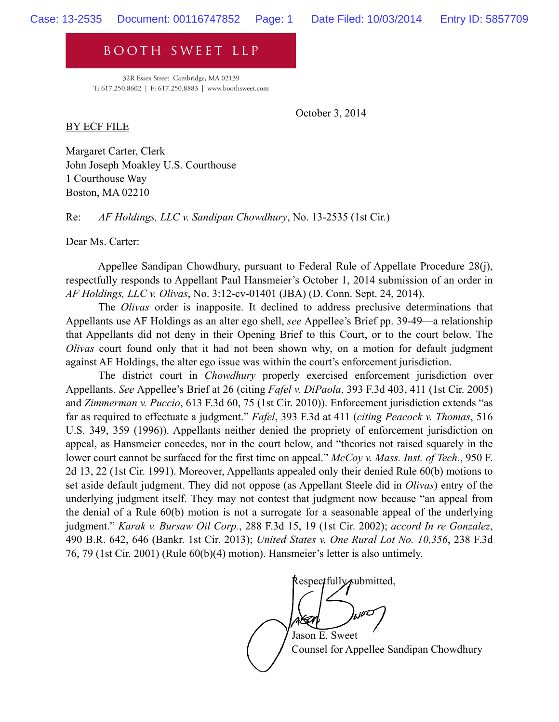booth sweet llp

32R Essex Street Cambridge, MA 02139 T: 617.250.8602 | F: 617.250.8883 | www.boothsweet.com

October 3, 2014

BY ECF FILE

Margaret Carter, Clerk John Joseph Moakley U.S. Courthouse 1 Courthouse Way Boston, MA 02210

Re: *AF Holdings, LLC v. Sandipan Chowdhury*, No. 13-2535 (1st Cir.)

Dear Ms. Carter:

Appellee Sandipan Chowdhury, pursuant to Federal Rule of Appellate Procedure 28(j), respectfully responds to Appellant Paul Hansmeier's October 1, 2014 submission of an order in *AF Holdings, LLC v. Olivas*, No. 3:12-cv-01401 (JBA) (D. Conn. Sept. 24, 2014).

 The *Olivas* order is inapposite. It declined to address preclusive determinations that Appellants use AF Holdings as an alter ego shell, *see* Appellee's Brief pp. 39-49—a relationship that Appellants did not deny in their Opening Brief to this Court, or to the court below. The *Olivas* court found only that it had not been shown why, on a motion for default judgment against AF Holdings, the alter ego issue was within the court's enforcement jurisdiction.

 The district court in *Chowdhury* properly exercised enforcement jurisdiction over Appellants. *See* Appellee's Brief at 26 (citing *Fafel v. DiPaola*, 393 F.3d 403, 411 (1st Cir. 2005) and *Zimmerman v. Puccio*, 613 F.3d 60, 75 (1st Cir. 2010)). Enforcement jurisdiction extends "as far as required to effectuate a judgment." *Fafel*, 393 F.3d at 411 (*citing Peacock v. Thomas*, 516 U.S. 349, 359 (1996)). Appellants neither denied the propriety of enforcement jurisdiction on appeal, as Hansmeier concedes, nor in the court below, and "theories not raised squarely in the lower court cannot be surfaced for the first time on appeal." *McCoy v. Mass. Inst. of Tech.*, 950 F. 2d 13, 22 (1st Cir. 1991). Moreover, Appellants appealed only their denied Rule 60(b) motions to set aside default judgment. They did not oppose (as Appellant Steele did in *Olivas*) entry of the underlying judgment itself. They may not contest that judgment now because "an appeal from the denial of a Rule 60(b) motion is not a surrogate for a seasonable appeal of the underlying judgment." *Karak v. Bursaw Oil Corp.*, 288 F.3d 15, 19 (1st Cir. 2002); *accord In re Gonzalez*, 490 B.R. 642, 646 (Bankr. 1st Cir. 2013); *United States v. One Rural Lot No. 10,356*, 238 F.3d 76, 79 (1st Cir. 2001) (Rule 60(b)(4) motion). Hansmeier's letter is also untimely.

Respectfully submitted,

 Jason E. Sweet Counsel for Appellee Sandipan Chowdhury